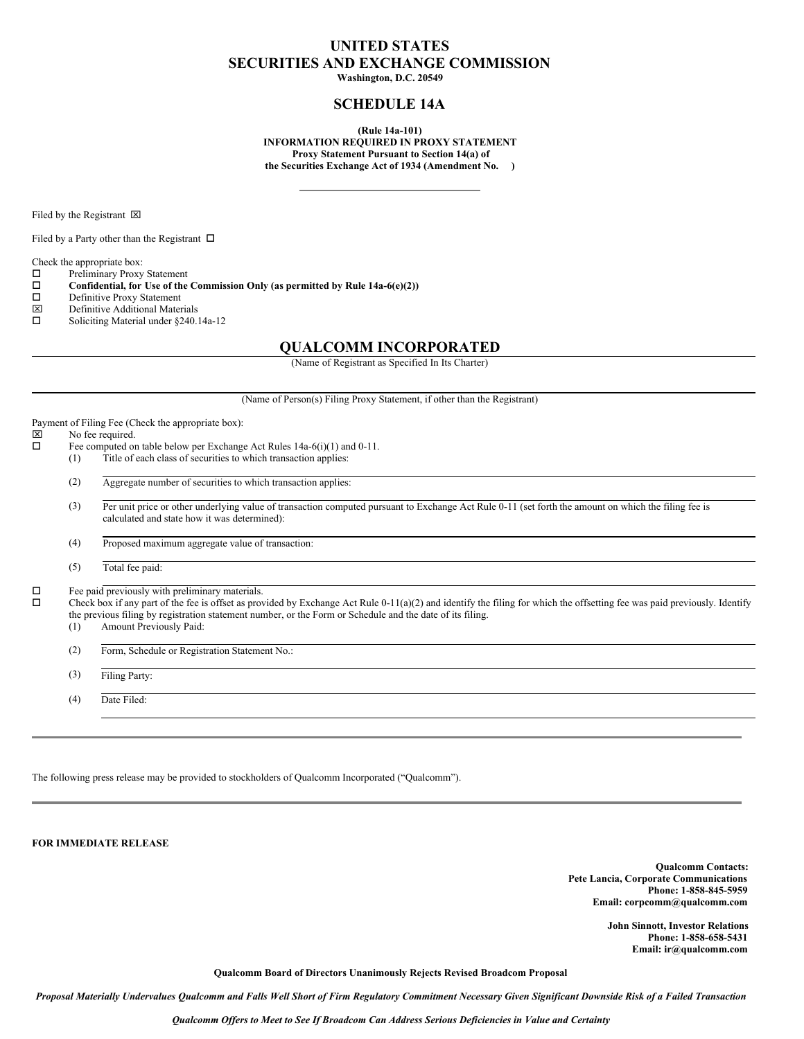# **UNITED STATES SECURITIES AND EXCHANGE COMMISSION**

**Washington, D.C. 20549**

# **SCHEDULE 14A**

**(Rule 14a-101) INFORMATION REQUIRED IN PROXY STATEMENT Proxy Statement Pursuant to Section 14(a) of the Securities Exchange Act of 1934 (Amendment No. )**

Filed by the Registrant  $\boxtimes$ 

Filed by a Party other than the Registrant  $\Box$ 

Check the appropriate box:

- $\square$  Preliminary Proxy Statement<br> $\square$  Confidential, for Use of the
- o **Confidential, for Use of the Commission Only (as permitted by Rule 14a-6(e)(2))**
- $\square$  Definitive Proxy Statement<br> $\square$  Definitive Additional Mater
- Definitive Additional Materials
- $\square$  Soliciting Material under §240.14a-12

# **QUALCOMM INCORPORATED**

(Name of Registrant as Specified In Its Charter)

(Name of Person(s) Filing Proxy Statement, if other than the Registrant)

Payment of Filing Fee (Check the appropriate box):<br> $|\overline{x}|$  No fee required

# $\boxtimes$  No fee required.<br> $\Box$  Fee computed or

- Fee computed on table below per Exchange Act Rules 14a-6(i)(1) and 0-11.
- (1) Title of each class of securities to which transaction applies:
- (2) Aggregate number of securities to which transaction applies:
- (3) Per unit price or other underlying value of transaction computed pursuant to Exchange Act Rule 0-11 (set forth the amount on which the filing fee is calculated and state how it was determined):

(4) Proposed maximum aggregate value of transaction:

(5) Total fee paid:

 $\square$  Fee paid previously with preliminary materials.<br> $\square$  Check hox if any part of the fee is offset as prov

Check box if any part of the fee is offset as provided by Exchange Act Rule 0-11(a)(2) and identify the filing for which the offsetting fee was paid previously. Identify the previous filing by registration statement number, or the Form or Schedule and the date of its filing.

(1) Amount Previously Paid:

(2) Form, Schedule or Registration Statement No.:

(3) Filing Party:

(4) Date Filed:

The following press release may be provided to stockholders of Qualcomm Incorporated ("Qualcomm").

**FOR IMMEDIATE RELEASE**

**Qualcomm Contacts: Pete Lancia, Corporate Communications Phone: 1-858-845-5959 Email: corpcomm@qualcomm.com**

> **John Sinnott, Investor Relations Phone: 1-858-658-5431 Email: ir@qualcomm.com**

**Qualcomm Board of Directors Unanimously Rejects Revised Broadcom Proposal**

Proposal Materially Undervalues Qualcomm and Falls Well Short of Firm Regulatory Commitment Necessary Given Significant Downside Risk of a Failed Transaction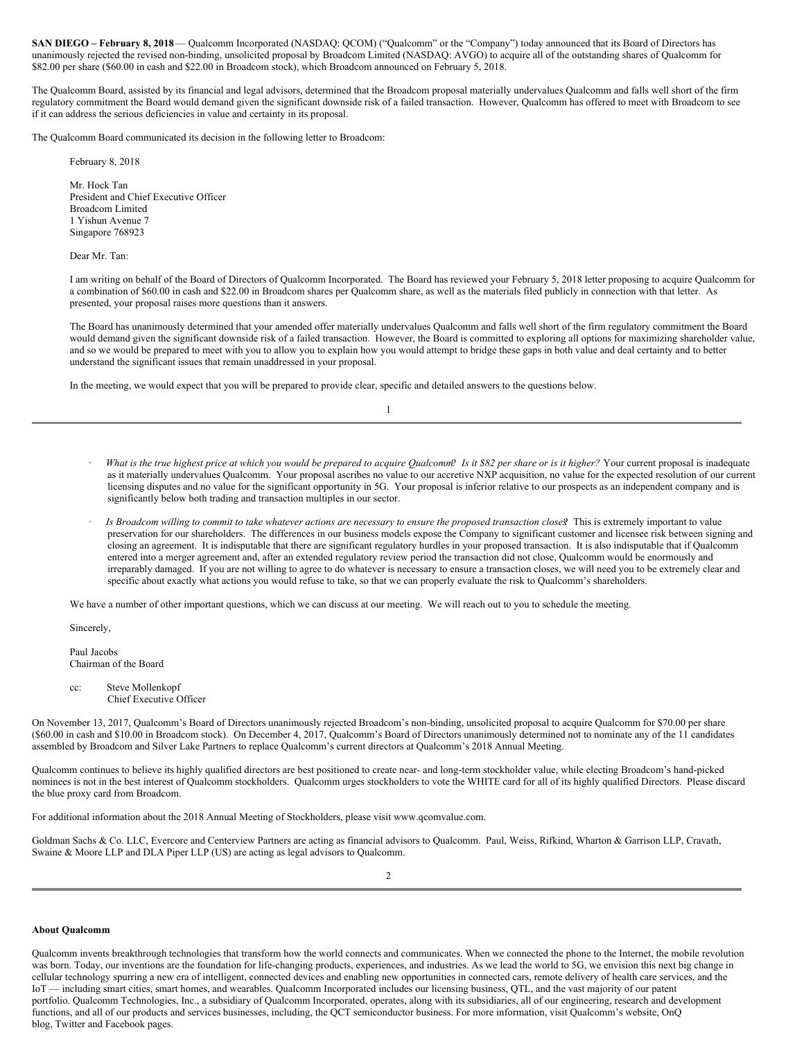**SAN DIEGO – February 8, 2018**— Qualcomm Incorporated (NASDAQ: QCOM) ("Qualcomm" or the "Company") today announced that its Board of Directors has unanimously rejected the revised non-binding, unsolicited proposal by Broadcom Limited (NASDAQ: AVGO) to acquire all of the outstanding shares of Qualcomm for \$82.00 per share (\$60.00 in cash and \$22.00 in Broadcom stock), which Broadcom announced on February 5, 2018.

The Qualcomm Board, assisted by its financial and legal advisors, determined that the Broadcom proposal materially undervalues Qualcomm and falls well short of the firm regulatory commitment the Board would demand given the significant downside risk of a failed transaction. However, Qualcomm has offered to meet with Broadcom to see if it can address the serious deficiencies in value and certainty in its proposal.

The Qualcomm Board communicated its decision in the following letter to Broadcom:

February 8, 2018

Mr. Hock Tan President and Chief Executive Officer Broadcom Limited 1 Yishun Avenue 7 Singapore 768923

Dear Mr. Tan:

I am writing on behalf of the Board of Directors of Qualcomm Incorporated. The Board has reviewed your February 5, 2018 letter proposing to acquire Qualcomm for a combination of \$60.00 in cash and \$22.00 in Broadcom shares per Qualcomm share, as well as the materials filed publicly in connection with that letter. As presented, your proposal raises more questions than it answers.

The Board has unanimously determined that your amended offer materially undervalues Qualcomm and falls well short of the firm regulatory commitment the Board would demand given the significant downside risk of a failed transaction. However, the Board is committed to exploring all options for maximizing shareholder value, and so we would be prepared to meet with you to allow you to explain how you would attempt to bridge these gaps in both value and deal certainty and to better understand the significant issues that remain unaddressed in your proposal.

In the meeting, we would expect that you will be prepared to provide clear, specific and detailed answers to the questions below.

1

- What is the true highest price at which you would be prepared to acquire Qualcomm? Is it \$82 per share or is it higher? Your current proposal is inadequate as it materially undervalues Qualcomm. Your proposal ascribes no value to our accretive NXP acquisition, no value for the expected resolution of our current licensing disputes and no value for the significant opportunity in 5G. Your proposal is inferior relative to our prospects as an independent company and is significantly below both trading and transaction multiples in our sector.
- Is Broadcom willing to commit to take whatever actions are necessary to ensure the proposed transaction closes? This is extremely important to value preservation for our shareholders. The differences in our business models expose the Company to significant customer and licensee risk between signing and closing an agreement. It is indisputable that there are significant regulatory hurdles in your proposed transaction. It is also indisputable that if Qualcomm entered into a merger agreement and, after an extended regulatory review period the transaction did not close, Qualcomm would be enormously and irreparably damaged. If you are not willing to agree to do whatever is necessary to ensure a transaction closes, we will need you to be extremely clear and specific about exactly what actions you would refuse to take, so that we can properly evaluate the risk to Qualcomm's shareholders.

We have a number of other important questions, which we can discuss at our meeting. We will reach out to you to schedule the meeting.

Sincerely,

Paul Jacobs Chairman of the Board

cc: Steve Mollenkopf Chief Executive Officer

On November 13, 2017, Qualcomm's Board of Directors unanimously rejected Broadcom's non-binding, unsolicited proposal to acquire Qualcomm for \$70.00 per share (\$60.00 in cash and \$10.00 in Broadcom stock). On December 4, 2017, Qualcomm's Board of Directors unanimously determined not to nominate any of the 11 candidates assembled by Broadcom and Silver Lake Partners to replace Qualcomm's current directors at Qualcomm's 2018 Annual Meeting.

Qualcomm continues to believe its highly qualified directors are best positioned to create near- and long-term stockholder value, while electing Broadcom's hand-picked nominees is not in the best interest of Qualcomm stockholders. Qualcomm urges stockholders to vote the WHITE card for all of its highly qualified Directors. Please discard the blue proxy card from Broadcom.

For additional information about the 2018 Annual Meeting of Stockholders, please visit www.qcomvalue.com.

Goldman Sachs & Co. LLC, Evercore and Centerview Partners are acting as financial advisors to Qualcomm. Paul, Weiss, Rifkind, Wharton & Garrison LLP, Cravath, Swaine & Moore LLP and DLA Piper LLP (US) are acting as legal advisors to Qualcomm.

#### **About Qualcomm**

Qualcomm invents breakthrough technologies that transform how the world connects and communicates. When we connected the phone to the Internet, the mobile revolution was born. Today, our inventions are the foundation for life-changing products, experiences, and industries. As we lead the world to 5G, we envision this next big change in cellular technology spurring a new era of intelligent, connected devices and enabling new opportunities in connected cars, remote delivery of health care services, and the IoT — including smart cities, smart homes, and wearables. Qualcomm Incorporated includes our licensing business, QTL, and the vast majority of our patent portfolio. Qualcomm Technologies, Inc., a subsidiary of Qualcomm Incorporated, operates, along with its subsidiaries, all of our engineering, research and development functions, and all of our products and services businesses, including, the QCT semiconductor business. For more information, visit Qualcomm's website, OnQ blog, Twitter and Facebook pages.